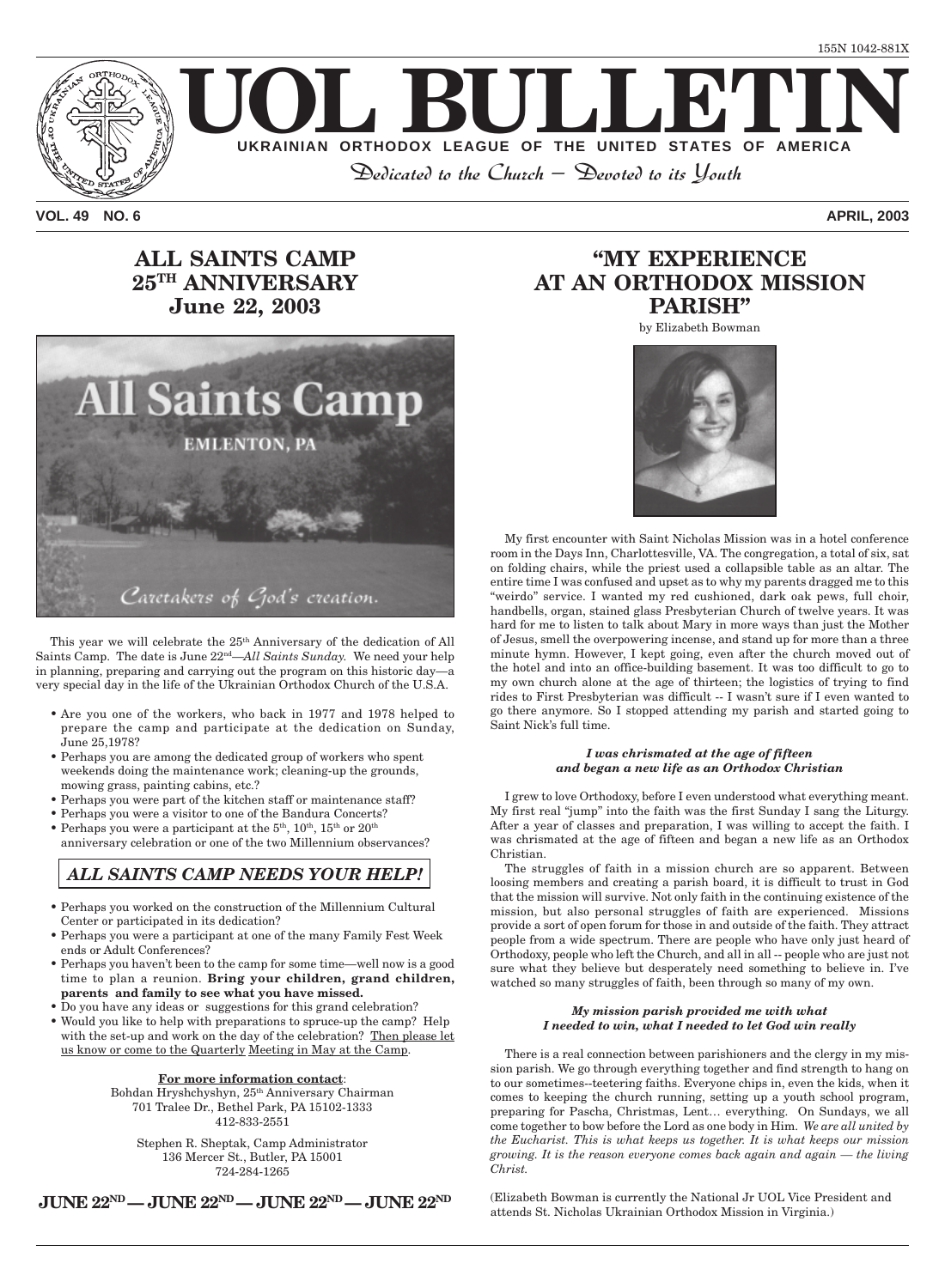

**VOL. 49 NO. 6 APRIL, 2003**

### **ALL SAINTS CAMP 25TH ANNIVERSARY June 22, 2003**



This year we will celebrate the 25<sup>th</sup> Anniversary of the dedication of All Saints Camp. The date is June 22nd—*All Saints Sunday.* We need your help in planning, preparing and carrying out the program on this historic day—a very special day in the life of the Ukrainian Orthodox Church of the U.S.A.

- Are you one of the workers, who back in 1977 and 1978 helped to prepare the camp and participate at the dedication on Sunday, June 25,1978?
- Perhaps you are among the dedicated group of workers who spent weekends doing the maintenance work; cleaning-up the grounds, mowing grass, painting cabins, etc.?
- Perhaps you were part of the kitchen staff or maintenance staff?
- Perhaps you were a visitor to one of the Bandura Concerts?
- Perhaps you were a participant at the  $5<sup>th</sup>$ ,  $10<sup>th</sup>$ ,  $15<sup>th</sup>$  or  $20<sup>th</sup>$ anniversary celebration or one of the two Millennium observances?

#### *ALL SAINTS CAMP NEEDS YOUR HELP!*

- Perhaps you worked on the construction of the Millennium Cultural Center or participated in its dedication?
- Perhaps you were a participant at one of the many Family Fest Week ends or Adult Conferences?
- Perhaps you haven't been to the camp for some time—well now is a good time to plan a reunion. **Bring your children, grand children, parents and family to see what you have missed.**
- Do you have any ideas or suggestions for this grand celebration? • Would you like to help with preparations to spruce-up the camp? Help with the set-up and work on the day of the celebration? Then please let us know or come to the Quarterly Meeting in May at the Camp.

#### **For more information contact**:

Bohdan Hryshchyshyn, 25th Anniversary Chairman 701 Tralee Dr., Bethel Park, PA 15102-1333 412-833-2551

Stephen R. Sheptak, Camp Administrator 136 Mercer St., Butler, PA 15001 724-284-1265

### **"MY EXPERIENCE AT AN ORTHODOX MISSION PARISH"**

by Elizabeth Bowman



My first encounter with Saint Nicholas Mission was in a hotel conference room in the Days Inn, Charlottesville, VA. The congregation, a total of six, sat on folding chairs, while the priest used a collapsible table as an altar. The entire time I was confused and upset as to why my parents dragged me to this "weirdo" service. I wanted my red cushioned, dark oak pews, full choir, handbells, organ, stained glass Presbyterian Church of twelve years. It was hard for me to listen to talk about Mary in more ways than just the Mother of Jesus, smell the overpowering incense, and stand up for more than a three minute hymn. However, I kept going, even after the church moved out of the hotel and into an office-building basement. It was too difficult to go to my own church alone at the age of thirteen; the logistics of trying to find rides to First Presbyterian was difficult -- I wasn't sure if I even wanted to go there anymore. So I stopped attending my parish and started going to Saint Nick's full time.

#### *I was chrismated at the age of fifteen and began a new life as an Orthodox Christian*

I grew to love Orthodoxy, before I even understood what everything meant. My first real "jump" into the faith was the first Sunday I sang the Liturgy. After a year of classes and preparation, I was willing to accept the faith. I was chrismated at the age of fifteen and began a new life as an Orthodox Christian.

The struggles of faith in a mission church are so apparent. Between loosing members and creating a parish board, it is difficult to trust in God that the mission will survive. Not only faith in the continuing existence of the mission, but also personal struggles of faith are experienced. Missions provide a sort of open forum for those in and outside of the faith. They attract people from a wide spectrum. There are people who have only just heard of Orthodoxy, people who left the Church, and all in all -- people who are just not sure what they believe but desperately need something to believe in. I've watched so many struggles of faith, been through so many of my own.

#### *My mission parish provided me with what I needed to win, what I needed to let God win really*

There is a real connection between parishioners and the clergy in my mission parish. We go through everything together and find strength to hang on to our sometimes--teetering faiths. Everyone chips in, even the kids, when it comes to keeping the church running, setting up a youth school program, preparing for Pascha, Christmas, Lent… everything. On Sundays, we all come together to bow before the Lord as one body in Him. *We are all united by the Eucharist. This is what keeps us together. It is what keeps our mission growing. It is the reason everyone comes back again and again — the living Christ.*

**JUNE 22ND — JUNE 22ND — JUNE 22ND — JUNE 22ND**

(Elizabeth Bowman is currently the National Jr UOL Vice President and attends St. Nicholas Ukrainian Orthodox Mission in Virginia.)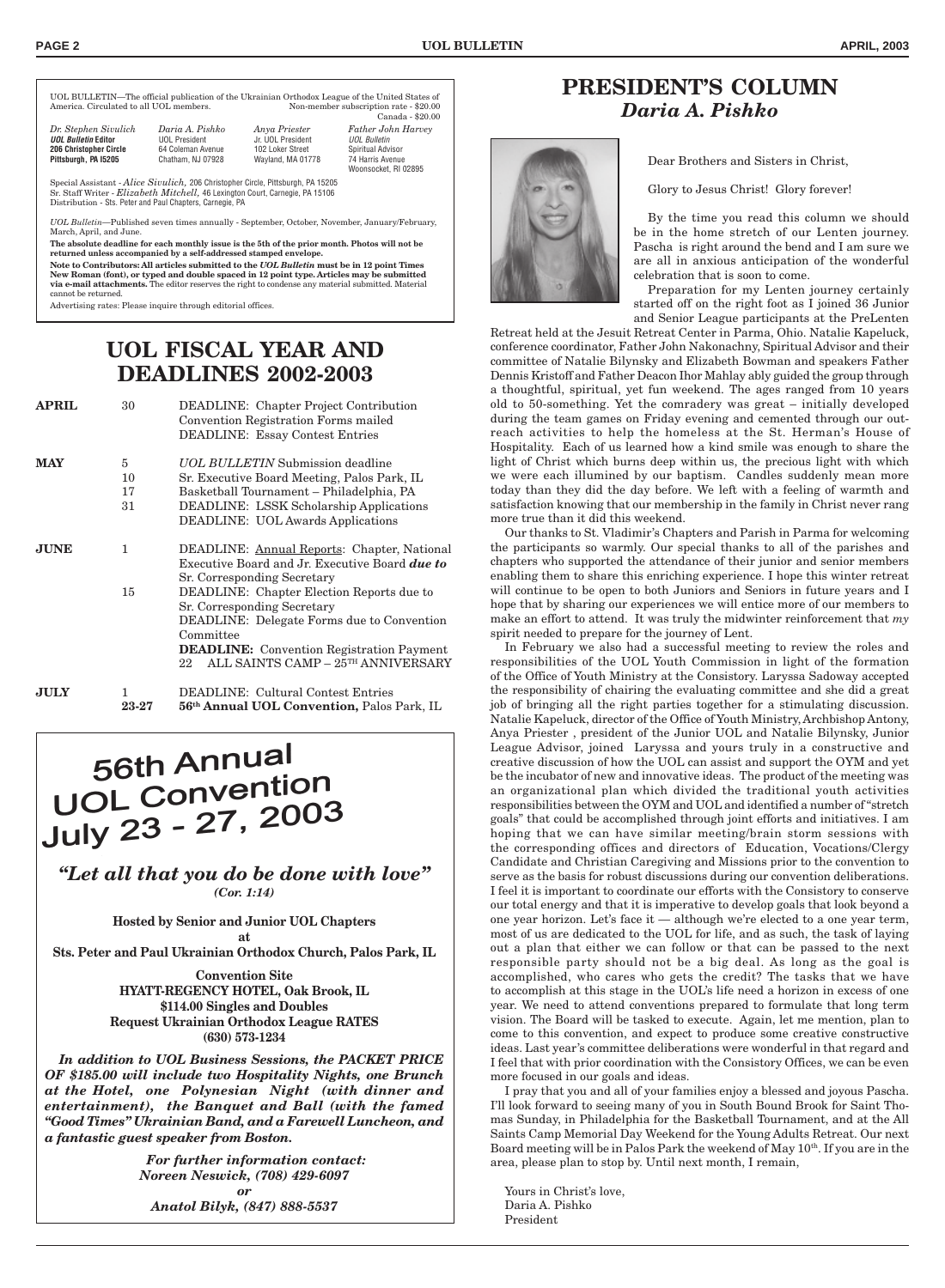UOL BULLETIN—The official publication of the Ukrainian Orthodox League of the United States of Non-member subscription rate - \$20.00 Canada - \$20.00

| <b>Father John Harvey</b><br><b>UOL Bulletin</b><br>Spiritual Advisor<br>Wayland, MA 01778<br>74 Harris Avenue<br>Woonsocket, RI 02895 |
|----------------------------------------------------------------------------------------------------------------------------------------|
|                                                                                                                                        |

Special Assistant - *Alice Sivulich,* 206 Christopher Circle, Pittsburgh, PA 15205 Sr. Staff Writer - *Elizabeth Mitchell,* 46 Lexington Court, Carnegie, PA 15106 Distribution - Sts. Peter and Paul Chapters, Carnegie, PA

*UOL Bulletin*—Published seven times annually - September, October, November, January/February, March, April, and June.

**The absolute deadline for each monthly issue is the 5th of the prior month. Photos will not be returned unless accompanied by a self-addressed stamped envelope.**

**Note to Contributors: All articles submitted to the** *UOL Bulletin* **must be in 12 point Times New Roman (font), or typed and double spaced in 12 point type. Articles may be submitted via e-mail attachments.** The editor reserves the right to condense any material submitted. Material cannot be returned.

Advertising rates: Please inquire through editorial offices.

### **UOL FISCAL YEAR AND DEADLINES 2002-2003**

**APRIL** 30 DEADLINE: Chapter Project Contribution

| AFRIL       | ΟU                  | DEADLINE: Chapter Project Contribution<br>Convention Registration Forms mailed<br><b>DEADLINE: Essay Contest Entries</b>                                                                                                                   |
|-------------|---------------------|--------------------------------------------------------------------------------------------------------------------------------------------------------------------------------------------------------------------------------------------|
| <b>MAY</b>  | 5<br>10<br>17<br>31 | <b><i>UOL BULLETIN</i></b> Submission deadline<br>Sr. Executive Board Meeting, Palos Park, IL<br>Basketball Tournament – Philadelphia, PA<br><b>DEADLINE: LSSK Scholarship Applications</b><br><b>DEADLINE: UOL Awards Applications</b>    |
| <b>JUNE</b> | 1.                  | DEADLINE: Annual Reports: Chapter, National<br>Executive Board and Jr. Executive Board <b>due to</b><br>Sr. Corresponding Secretary                                                                                                        |
|             | 15                  | DEADLINE: Chapter Election Reports due to<br>Sr. Corresponding Secretary<br><b>DEADLINE:</b> Delegate Forms due to Convention<br>Committee<br><b>DEADLINE:</b> Convention Registration Payment<br>ALL SAINTS CAMP - 25TH ANNIVERSARY<br>22 |
| <b>JULY</b> | 1<br>23-27          | <b>DEADLINE: Cultural Contest Entries</b><br>56 <sup>th</sup> Annual UOL Convention, Palos Park, IL                                                                                                                                        |

# **56th Annual** 56th Annuar<br>UOL Convention<br>July 23 - 27, 2003

*"Let all that you do be done with love" (Cor. 1:14)*

> **Hosted by Senior and Junior UOL Chapters at**

**Sts. Peter and Paul Ukrainian Orthodox Church, Palos Park, IL**

**Convention Site HYATT-REGENCY HOTEL, Oak Brook, IL \$114.00 Singles and Doubles Request Ukrainian Orthodox League RATES (630) 573-1234**

*In addition to UOL Business Sessions, the PACKET PRICE OF \$185.00 will include two Hospitality Nights, one Brunch at the Hotel, one Polynesian Night (with dinner and entertainment), the Banquet and Ball (with the famed "Good Times" Ukrainian Band, and a Farewell Luncheon, and a fantastic guest speaker from Boston.*

> *For further information contact: Noreen Neswick, (708) 429-6097 or Anatol Bilyk, (847) 888-5537*

### **PRESIDENT'S COLUMN** *Daria A. Pishko*



Dear Brothers and Sisters in Christ,

Glory to Jesus Christ! Glory forever!

By the time you read this column we should be in the home stretch of our Lenten journey. Pascha is right around the bend and I am sure we are all in anxious anticipation of the wonderful celebration that is soon to come.

Preparation for my Lenten journey certainly started off on the right foot as I joined 36 Junior and Senior League participants at the PreLenten

Retreat held at the Jesuit Retreat Center in Parma, Ohio. Natalie Kapeluck, conference coordinator, Father John Nakonachny, Spiritual Advisor and their committee of Natalie Bilynsky and Elizabeth Bowman and speakers Father Dennis Kristoff and Father Deacon Ihor Mahlay ably guided the group through a thoughtful, spiritual, yet fun weekend. The ages ranged from 10 years old to 50-something. Yet the comradery was great – initially developed during the team games on Friday evening and cemented through our outreach activities to help the homeless at the St. Herman's House of Hospitality. Each of us learned how a kind smile was enough to share the light of Christ which burns deep within us, the precious light with which we were each illumined by our baptism. Candles suddenly mean more today than they did the day before. We left with a feeling of warmth and satisfaction knowing that our membership in the family in Christ never rang more true than it did this weekend.

Our thanks to St. Vladimir's Chapters and Parish in Parma for welcoming the participants so warmly. Our special thanks to all of the parishes and chapters who supported the attendance of their junior and senior members enabling them to share this enriching experience. I hope this winter retreat will continue to be open to both Juniors and Seniors in future years and I hope that by sharing our experiences we will entice more of our members to make an effort to attend. It was truly the midwinter reinforcement that *my* spirit needed to prepare for the journey of Lent.

In February we also had a successful meeting to review the roles and responsibilities of the UOL Youth Commission in light of the formation of the Office of Youth Ministry at the Consistory. Laryssa Sadoway accepted the responsibility of chairing the evaluating committee and she did a great job of bringing all the right parties together for a stimulating discussion. Natalie Kapeluck, director of the Office of Youth Ministry, Archbishop Antony, Anya Priester , president of the Junior UOL and Natalie Bilynsky, Junior League Advisor, joined Laryssa and yours truly in a constructive and creative discussion of how the UOL can assist and support the OYM and yet be the incubator of new and innovative ideas. The product of the meeting was an organizational plan which divided the traditional youth activities responsibilities between the OYM and UOL and identified a number of "stretch goals" that could be accomplished through joint efforts and initiatives. I am hoping that we can have similar meeting/brain storm sessions with the corresponding offices and directors of Education, Vocations/Clergy Candidate and Christian Caregiving and Missions prior to the convention to serve as the basis for robust discussions during our convention deliberations. I feel it is important to coordinate our efforts with the Consistory to conserve our total energy and that it is imperative to develop goals that look beyond a one year horizon. Let's face it — although we're elected to a one year term, most of us are dedicated to the UOL for life, and as such, the task of laying out a plan that either we can follow or that can be passed to the next responsible party should not be a big deal. As long as the goal is accomplished, who cares who gets the credit? The tasks that we have to accomplish at this stage in the UOL's life need a horizon in excess of one year. We need to attend conventions prepared to formulate that long term vision. The Board will be tasked to execute. Again, let me mention, plan to come to this convention, and expect to produce some creative constructive ideas. Last year's committee deliberations were wonderful in that regard and I feel that with prior coordination with the Consistory Offices, we can be even more focused in our goals and ideas.

I pray that you and all of your families enjoy a blessed and joyous Pascha. I'll look forward to seeing many of you in South Bound Brook for Saint Thomas Sunday, in Philadelphia for the Basketball Tournament, and at the All Saints Camp Memorial Day Weekend for the Young Adults Retreat. Our next Board meeting will be in Palos Park the weekend of May 10<sup>th</sup>. If you are in the area, please plan to stop by. Until next month, I remain,

Yours in Christ's love, Daria A. Pishko President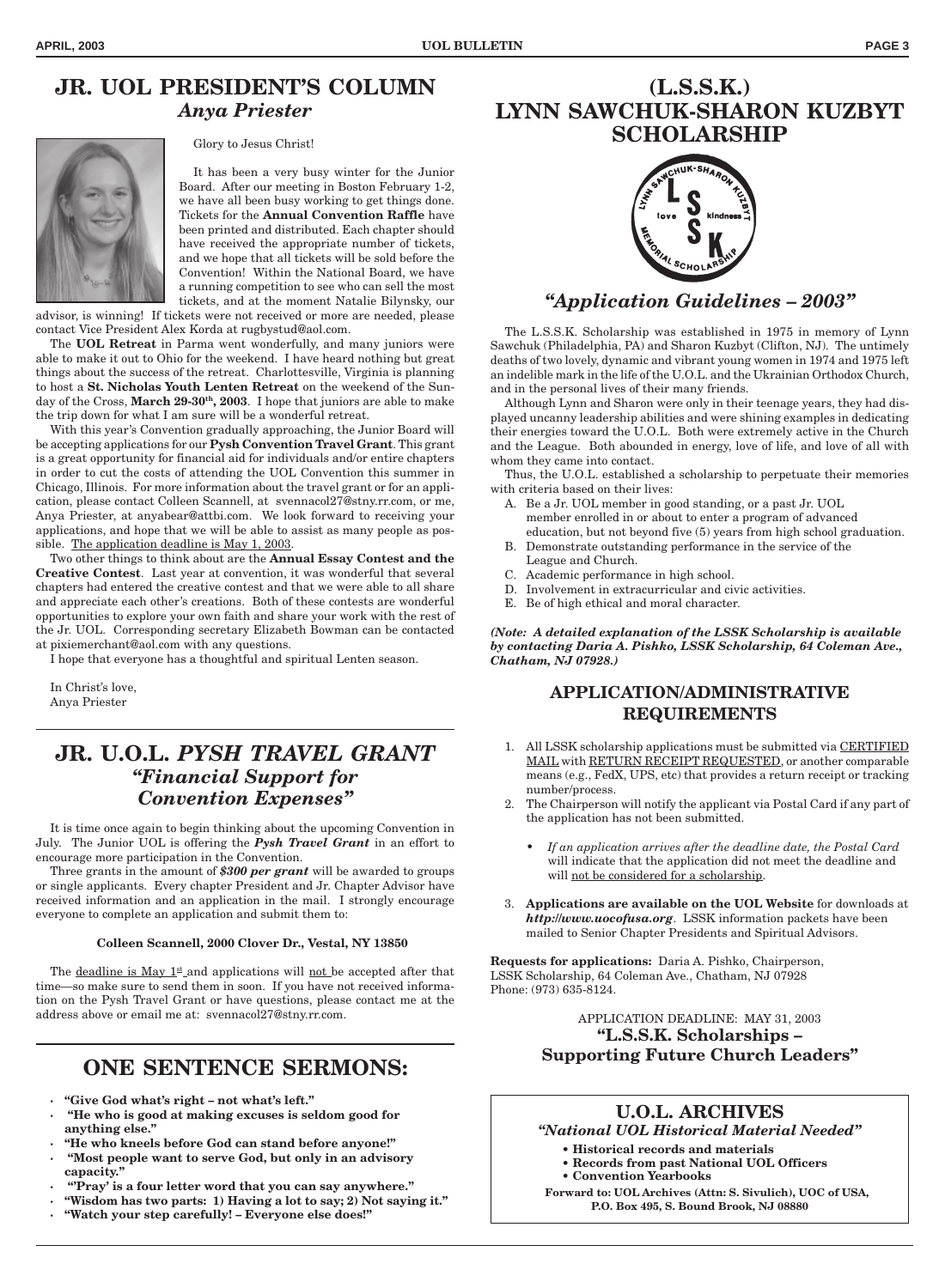### **JR. UOL PRESIDENT'S COLUMN** *Anya Priester*

Glory to Jesus Christ!

It has been a very busy winter for the Junior Board. After our meeting in Boston February 1-2, we have all been busy working to get things done. Tickets for the **Annual Convention Raffle** have been printed and distributed. Each chapter should have received the appropriate number of tickets, and we hope that all tickets will be sold before the Convention! Within the National Board, we have a running competition to see who can sell the most tickets, and at the moment Natalie Bilynsky, our

advisor, is winning! If tickets were not received or more are needed, please contact Vice President Alex Korda at rugbystud@aol.com.

The **UOL Retreat** in Parma went wonderfully, and many juniors were able to make it out to Ohio for the weekend. I have heard nothing but great things about the success of the retreat. Charlottesville, Virginia is planning to host a **St. Nicholas Youth Lenten Retreat** on the weekend of the Sunday of the Cross, March 29-30<sup>th</sup>, 2003. I hope that juniors are able to make the trip down for what I am sure will be a wonderful retreat.

With this year's Convention gradually approaching, the Junior Board will be accepting applications for our **Pysh Convention Travel Grant**. This grant is a great opportunity for financial aid for individuals and/or entire chapters in order to cut the costs of attending the UOL Convention this summer in Chicago, Illinois. For more information about the travel grant or for an application, please contact Colleen Scannell, at svennacol27@stny.rr.com, or me, Anya Priester, at anyabear@attbi.com. We look forward to receiving your applications, and hope that we will be able to assist as many people as possible. The application deadline is May 1, 2003.

Two other things to think about are the **Annual Essay Contest and the Creative Contest**. Last year at convention, it was wonderful that several chapters had entered the creative contest and that we were able to all share and appreciate each other's creations. Both of these contests are wonderful opportunities to explore your own faith and share your work with the rest of the Jr. UOL. Corresponding secretary Elizabeth Bowman can be contacted at pixiemerchant@aol.com with any questions.

I hope that everyone has a thoughtful and spiritual Lenten season.

In Christ's love, Anya Priester

### **JR. U.O.L.** *PYSH TRAVEL GRANT "Financial Support for Convention Expenses"*

It is time once again to begin thinking about the upcoming Convention in July. The Junior UOL is offering the *Pysh Travel Grant* in an effort to encourage more participation in the Convention.

Three grants in the amount of *\$300 per grant* will be awarded to groups or single applicants. Every chapter President and Jr. Chapter Advisor have received information and an application in the mail. I strongly encourage everyone to complete an application and submit them to:

#### **Colleen Scannell, 2000 Clover Dr., Vestal, NY 13850**

The <u>deadline is May  $1^{\underline{\text{st}}}$ </u> and applications will <u>not</u> be accepted after that time—so make sure to send them in soon. If you have not received information on the Pysh Travel Grant or have questions, please contact me at the address above or email me at: svennacol27@stny.rr.com.

### **ONE SENTENCE SERMONS:**

- **· "Give God what's right not what's left."**
- **· "He who is good at making excuses is seldom good for anything else."**
- **· "He who kneels before God can stand before anyone!"**
- **· "Most people want to serve God, but only in an advisory capacity."**
- **· "'Pray' is a four letter word that you can say anywhere."**
- **· "Wisdom has two parts: 1) Having a lot to say; 2) Not saying it."**
- **· "Watch your step carefully! Everyone else does!"**

### **(L.S.S.K.) LYNN SAWCHUK-SHARON KUZBYT SCHOLARSHIP**



### *"Application Guidelines – 2003"*

The L.S.S.K. Scholarship was established in 1975 in memory of Lynn Sawchuk (Philadelphia, PA) and Sharon Kuzbyt (Clifton, NJ). The untimely deaths of two lovely, dynamic and vibrant young women in 1974 and 1975 left an indelible mark in the life of the U.O.L. and the Ukrainian Orthodox Church, and in the personal lives of their many friends.

Although Lynn and Sharon were only in their teenage years, they had displayed uncanny leadership abilities and were shining examples in dedicating their energies toward the U.O.L. Both were extremely active in the Church and the League. Both abounded in energy, love of life, and love of all with whom they came into contact.

Thus, the U.O.L. established a scholarship to perpetuate their memories with criteria based on their lives:

- A. Be a Jr. UOL member in good standing, or a past Jr. UOL member enrolled in or about to enter a program of advanced education, but not beyond five (5) years from high school graduation.
- B. Demonstrate outstanding performance in the service of the League and Church.
- C. Academic performance in high school.
- D. Involvement in extracurricular and civic activities.
- E. Be of high ethical and moral character.

*(Note: A detailed explanation of the LSSK Scholarship is available by contacting Daria A. Pishko, LSSK Scholarship, 64 Coleman Ave., Chatham, NJ 07928.)*

#### **APPLICATION/ADMINISTRATIVE REQUIREMENTS**

- 1. All LSSK scholarship applications must be submitted via CERTIFIED MAIL with RETURN RECEIPT REQUESTED, or another comparable means (e.g., FedX, UPS, etc) that provides a return receipt or tracking number/process.
- 2. The Chairperson will notify the applicant via Postal Card if any part of the application has not been submitted.
	- *If an application arrives after the deadline date, the Postal Card* will indicate that the application did not meet the deadline and will not be considered for a scholarship.
- 3. **Applications are available on the UOL Website** for downloads at *http://www.uocofusa.org*. LSSK information packets have been mailed to Senior Chapter Presidents and Spiritual Advisors.

**Requests for applications:** Daria A. Pishko, Chairperson, LSSK Scholarship, 64 Coleman Ave., Chatham, NJ 07928 Phone: (973) 635-8124.

#### APPLICATION DEADLINE: MAY 31, 2003 **"L.S.S.K. Scholarships – Supporting Future Church Leaders"**

### **U.O.L. ARCHIVES**

*"National UOL Historical Material Needed"*

- **Historical records and materials**
- **Records from past National UOL Officers**
- **Convention Yearbooks**

**Forward to: UOL Archives (Attn: S. Sivulich), UOC of USA, P.O. Box 495, S. Bound Brook, NJ 08880**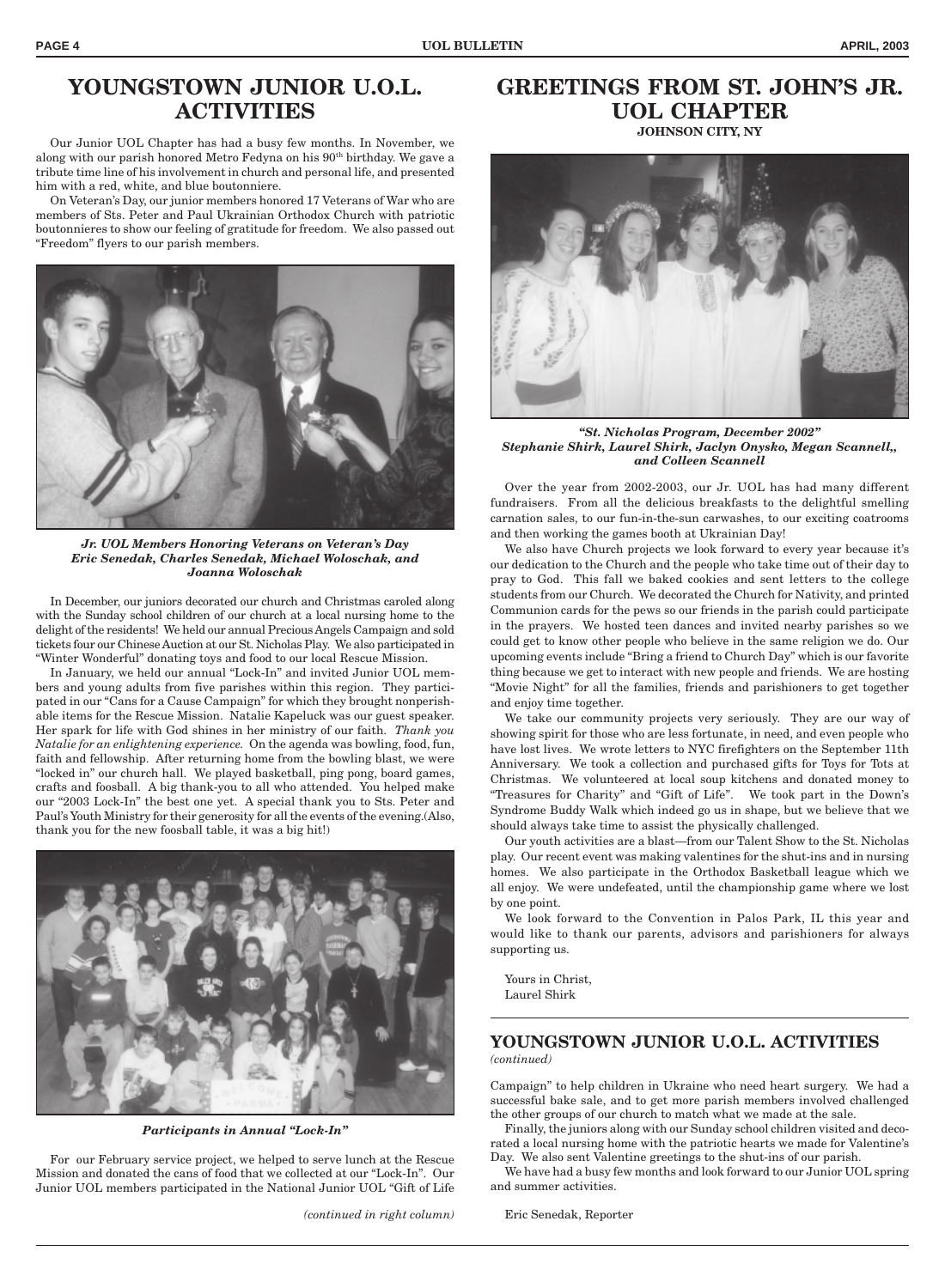### **YOUNGSTOWN JUNIOR U.O.L. ACTIVITIES**

Our Junior UOL Chapter has had a busy few months. In November, we along with our parish honored Metro Fedyna on his 90<sup>th</sup> birthday. We gave a tribute time line of his involvement in church and personal life, and presented him with a red, white, and blue boutonniere.

On Veteran's Day, our junior members honored 17 Veterans of War who are members of Sts. Peter and Paul Ukrainian Orthodox Church with patriotic boutonnieres to show our feeling of gratitude for freedom. We also passed out "Freedom" flyers to our parish members.



*Jr. UOL Members Honoring Veterans on Veteran's Day Eric Senedak, Charles Senedak, Michael Woloschak, and Joanna Woloschak*

In December, our juniors decorated our church and Christmas caroled along with the Sunday school children of our church at a local nursing home to the delight of the residents! We held our annual Precious Angels Campaign and sold tickets four our Chinese Auction at our St. Nicholas Play. We also participated in "Winter Wonderful" donating toys and food to our local Rescue Mission.

In January, we held our annual "Lock-In" and invited Junior UOL members and young adults from five parishes within this region. They participated in our "Cans for a Cause Campaign" for which they brought nonperishable items for the Rescue Mission. Natalie Kapeluck was our guest speaker. Her spark for life with God shines in her ministry of our faith. *Thank you Natalie for an enlightening experience.* On the agenda was bowling, food, fun, faith and fellowship. After returning home from the bowling blast, we were "locked in" our church hall. We played basketball, ping pong, board games, crafts and foosball. A big thank-you to all who attended. You helped make our "2003 Lock-In" the best one yet. A special thank you to Sts. Peter and Paul's Youth Ministry for their generosity for all the events of the evening.(Also, thank you for the new foosball table, it was a big hit!)



*Participants in Annual "Lock-In"*

For our February service project, we helped to serve lunch at the Rescue Mission and donated the cans of food that we collected at our "Lock-In". Our Junior UOL members participated in the National Junior UOL "Gift of Life

*(continued in right column)* Eric Senedak, Reporter

### **GREETINGS FROM ST. JOHN'S JR. UOL CHAPTER**

**JOHNSON CITY, NY**



*"St. Nicholas Program, December 2002" Stephanie Shirk, Laurel Shirk, Jaclyn Onysko, Megan Scannell,, and Colleen Scannell*

Over the year from 2002-2003, our Jr. UOL has had many different fundraisers. From all the delicious breakfasts to the delightful smelling carnation sales, to our fun-in-the-sun carwashes, to our exciting coatrooms and then working the games booth at Ukrainian Day!

We also have Church projects we look forward to every year because it's our dedication to the Church and the people who take time out of their day to pray to God. This fall we baked cookies and sent letters to the college students from our Church. We decorated the Church for Nativity, and printed Communion cards for the pews so our friends in the parish could participate in the prayers. We hosted teen dances and invited nearby parishes so we could get to know other people who believe in the same religion we do. Our upcoming events include "Bring a friend to Church Day" which is our favorite thing because we get to interact with new people and friends. We are hosting "Movie Night" for all the families, friends and parishioners to get together and enjoy time together.

We take our community projects very seriously. They are our way of showing spirit for those who are less fortunate, in need, and even people who have lost lives. We wrote letters to NYC firefighters on the September 11th Anniversary. We took a collection and purchased gifts for Toys for Tots at Christmas. We volunteered at local soup kitchens and donated money to "Treasures for Charity" and "Gift of Life". We took part in the Down's Syndrome Buddy Walk which indeed go us in shape, but we believe that we should always take time to assist the physically challenged.

Our youth activities are a blast—from our Talent Show to the St. Nicholas play. Our recent event was making valentines for the shut-ins and in nursing homes. We also participate in the Orthodox Basketball league which we all enjoy. We were undefeated, until the championship game where we lost by one point.

We look forward to the Convention in Palos Park, IL this year and would like to thank our parents, advisors and parishioners for always supporting us.

Yours in Christ, Laurel Shirk

#### **YOUNGSTOWN JUNIOR U.O.L. ACTIVITIES** *(continued)*

Campaign" to help children in Ukraine who need heart surgery. We had a successful bake sale, and to get more parish members involved challenged the other groups of our church to match what we made at the sale.

Finally, the juniors along with our Sunday school children visited and decorated a local nursing home with the patriotic hearts we made for Valentine's Day. We also sent Valentine greetings to the shut-ins of our parish.

We have had a busy few months and look forward to our Junior UOL spring and summer activities.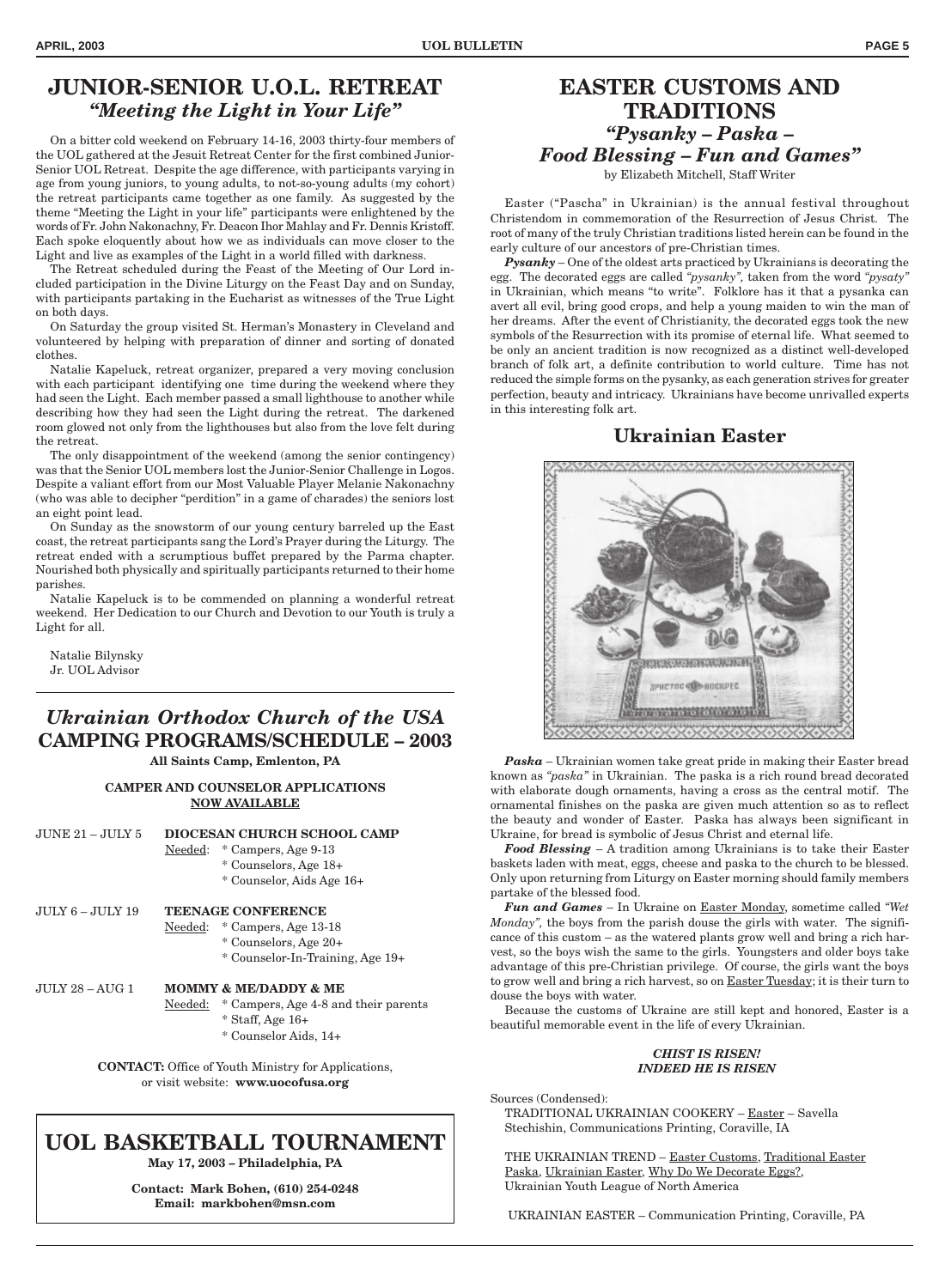### **JUNIOR-SENIOR U.O.L. RETREAT** *"Meeting the Light in Your Life"*

On a bitter cold weekend on February 14-16, 2003 thirty-four members of the UOL gathered at the Jesuit Retreat Center for the first combined Junior-Senior UOL Retreat. Despite the age difference, with participants varying in age from young juniors, to young adults, to not-so-young adults (my cohort) the retreat participants came together as one family. As suggested by the theme "Meeting the Light in your life" participants were enlightened by the words of Fr. John Nakonachny, Fr. Deacon Ihor Mahlay and Fr. Dennis Kristoff. Each spoke eloquently about how we as individuals can move closer to the Light and live as examples of the Light in a world filled with darkness.

The Retreat scheduled during the Feast of the Meeting of Our Lord included participation in the Divine Liturgy on the Feast Day and on Sunday, with participants partaking in the Eucharist as witnesses of the True Light on both days.

On Saturday the group visited St. Herman's Monastery in Cleveland and volunteered by helping with preparation of dinner and sorting of donated clothes.

Natalie Kapeluck, retreat organizer, prepared a very moving conclusion with each participant identifying one time during the weekend where they had seen the Light. Each member passed a small lighthouse to another while describing how they had seen the Light during the retreat. The darkened room glowed not only from the lighthouses but also from the love felt during the retreat.

The only disappointment of the weekend (among the senior contingency) was that the Senior UOL members lost the Junior-Senior Challenge in Logos. Despite a valiant effort from our Most Valuable Player Melanie Nakonachny (who was able to decipher "perdition" in a game of charades) the seniors lost an eight point lead.

On Sunday as the snowstorm of our young century barreled up the East coast, the retreat participants sang the Lord's Prayer during the Liturgy. The retreat ended with a scrumptious buffet prepared by the Parma chapter. Nourished both physically and spiritually participants returned to their home parishes.

Natalie Kapeluck is to be commended on planning a wonderful retreat weekend. Her Dedication to our Church and Devotion to our Youth is truly a Light for all.

Natalie Bilynsky Jr. UOL Advisor

### *Ukrainian Orthodox Church of the USA* **CAMPING PROGRAMS/SCHEDULE – 2003**

**All Saints Camp, Emlenton, PA**

#### **CAMPER AND COUNSELOR APPLICATIONS NOW AVAILABLE**

| $J\overline{U}$ NE 21 – $J\overline{U}$ I $N$ 5 | DIOCESAN CHURCH SCHOOL CAMP |                                                                                                  |  |
|-------------------------------------------------|-----------------------------|--------------------------------------------------------------------------------------------------|--|
|                                                 | $Needed$                    | * Campers, Age 9-13                                                                              |  |
|                                                 |                             | * Counselors, Age 18+                                                                            |  |
|                                                 |                             | * Counselor, Aids Age 16+                                                                        |  |
| JULY 6 – JULY 19                                |                             | <b>TEENAGE CONFERENCE</b>                                                                        |  |
|                                                 |                             | Needed: * Campers, Age 13-18                                                                     |  |
|                                                 |                             | * Counselors, Age 20+                                                                            |  |
|                                                 |                             | * Counselor-In-Training, Age 19+                                                                 |  |
| JULY 28 – AUG 1                                 |                             | <b>MOMMY &amp; ME/DADDY &amp; ME</b>                                                             |  |
|                                                 | Needed:                     | * Campers, Age 4-8 and their parents                                                             |  |
|                                                 |                             | * Staff, Age 16+                                                                                 |  |
|                                                 |                             | * Counselor Aids, 14+                                                                            |  |
|                                                 |                             | <b>CONTACT:</b> Office of Youth Ministry for Applications,<br>or visit website: www.uocofusa.org |  |
|                                                 |                             |                                                                                                  |  |

### **UOL BASKETBALL TOURNAMENT**

**May 17, 2003 – Philadelphia, PA**

**Contact: Mark Bohen, (610) 254-0248 Email: markbohen@msn.com**

#### **EASTER CUSTOMS AND TRADITIONS** *"Pysanky – Paska – Food Blessing – Fun and Games"* by Elizabeth Mitchell, Staff Writer

Easter ("Pascha" in Ukrainian) is the annual festival throughout Christendom in commemoration of the Resurrection of Jesus Christ. The root of many of the truly Christian traditions listed herein can be found in the early culture of our ancestors of pre-Christian times.

*Pysanky* – One of the oldest arts practiced by Ukrainians is decorating the egg. The decorated eggs are called *"pysanky",* taken from the word *"pysaty"* in Ukrainian, which means "to write". Folklore has it that a pysanka can avert all evil, bring good crops, and help a young maiden to win the man of her dreams. After the event of Christianity, the decorated eggs took the new symbols of the Resurrection with its promise of eternal life. What seemed to be only an ancient tradition is now recognized as a distinct well-developed branch of folk art, a definite contribution to world culture. Time has not reduced the simple forms on the pysanky, as each generation strives for greater perfection, beauty and intricacy. Ukrainians have become unrivalled experts in this interesting folk art.

#### **Ukrainian Easter**



*Paska* – Ukrainian women take great pride in making their Easter bread known as *"paska"* in Ukrainian. The paska is a rich round bread decorated with elaborate dough ornaments, having a cross as the central motif. The ornamental finishes on the paska are given much attention so as to reflect the beauty and wonder of Easter. Paska has always been significant in Ukraine, for bread is symbolic of Jesus Christ and eternal life.

*Food Blessing* – A tradition among Ukrainians is to take their Easter baskets laden with meat, eggs, cheese and paska to the church to be blessed. Only upon returning from Liturgy on Easter morning should family members partake of the blessed food.

*Fun and Games* – In Ukraine on Easter Monday, sometime called *"Wet Monday*", the boys from the parish douse the girls with water. The significance of this custom – as the watered plants grow well and bring a rich harvest, so the boys wish the same to the girls. Youngsters and older boys take advantage of this pre-Christian privilege. Of course, the girls want the boys to grow well and bring a rich harvest, so on **Easter Tuesday**; it is their turn to douse the boys with water.

Because the customs of Ukraine are still kept and honored, Easter is a beautiful memorable event in the life of every Ukrainian.

#### *CHIST IS RISEN! INDEED HE IS RISEN*

Sources (Condensed):

TRADITIONAL UKRAINIAN COOKERY – Easter – Savella Stechishin, Communications Printing, Coraville, IA

THE UKRAINIAN TREND – Easter Customs, Traditional Easter Paska, Ukrainian Easter, Why Do We Decorate Eggs?, Ukrainian Youth League of North America

UKRAINIAN EASTER – Communication Printing, Coraville, PA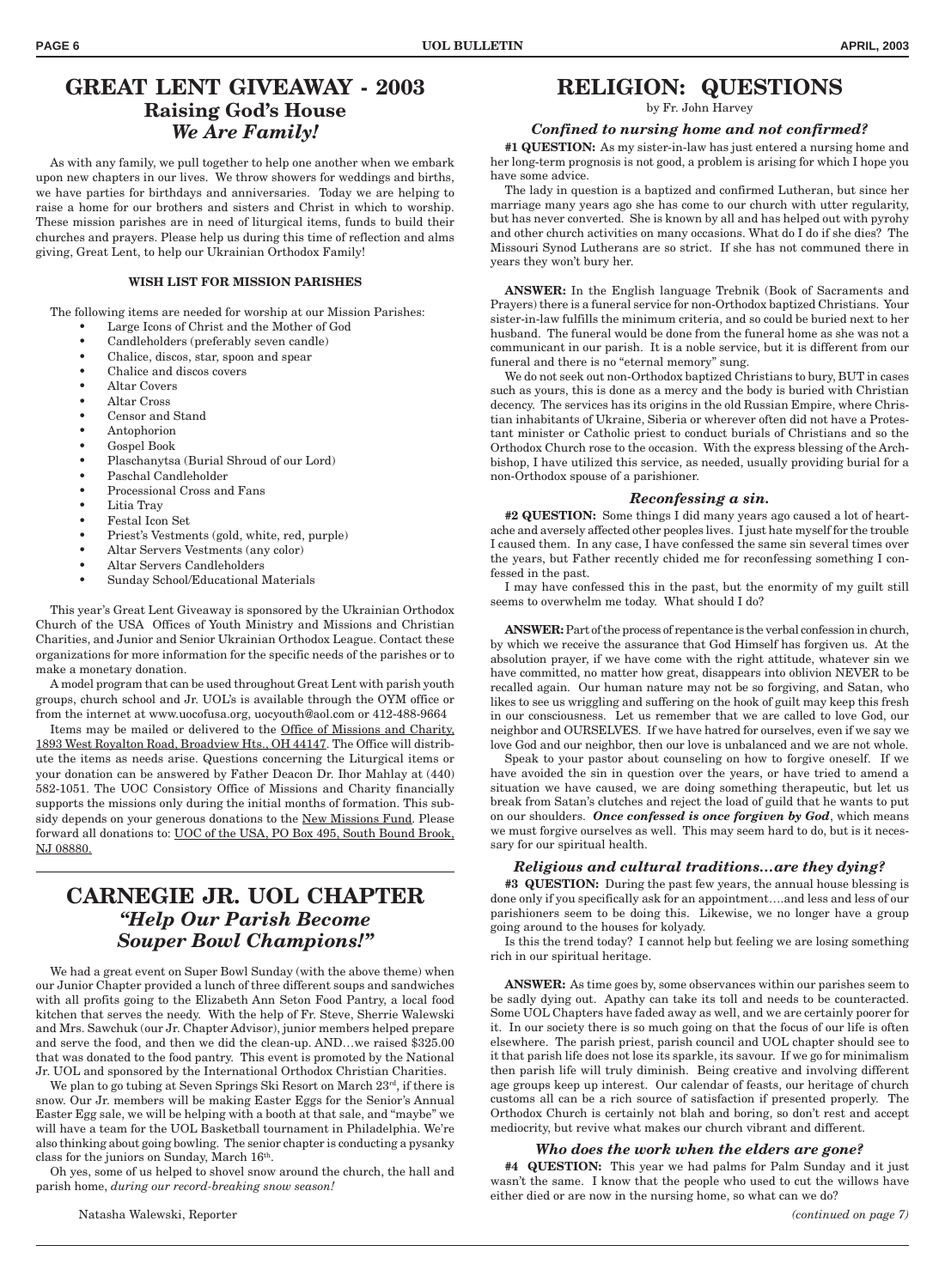### **GREAT LENT GIVEAWAY - 2003 Raising God's House** *We Are Family!*

As with any family, we pull together to help one another when we embark upon new chapters in our lives. We throw showers for weddings and births, we have parties for birthdays and anniversaries. Today we are helping to raise a home for our brothers and sisters and Christ in which to worship. These mission parishes are in need of liturgical items, funds to build their churches and prayers. Please help us during this time of reflection and alms giving, Great Lent, to help our Ukrainian Orthodox Family!

#### **WISH LIST FOR MISSION PARISHES**

The following items are needed for worship at our Mission Parishes:

- Large Icons of Christ and the Mother of God
- Candleholders (preferably seven candle)
- Chalice, discos, star, spoon and spear
- Chalice and discos covers
- Altar Covers
- Altar Cross
- Censor and Stand
- Antophorion
- Gospel Book
- Plaschanytsa (Burial Shroud of our Lord)
- Paschal Candleholder
- Processional Cross and Fans
- Litia Tray
- Festal Icon Set
- Priest's Vestments (gold, white, red, purple)
- Altar Servers Vestments (any color)
- Altar Servers Candleholders
- Sunday School/Educational Materials

This year's Great Lent Giveaway is sponsored by the Ukrainian Orthodox Church of the USA Offices of Youth Ministry and Missions and Christian Charities, and Junior and Senior Ukrainian Orthodox League. Contact these organizations for more information for the specific needs of the parishes or to make a monetary donation.

A model program that can be used throughout Great Lent with parish youth groups, church school and Jr. UOL's is available through the OYM office or from the internet at www.uocofusa.org, uocyouth@aol.com or 412-488-9664

Items may be mailed or delivered to the Office of Missions and Charity, 1893 West Royalton Road, Broadview Hts., OH 44147. The Office will distribute the items as needs arise. Questions concerning the Liturgical items or your donation can be answered by Father Deacon Dr. Ihor Mahlay at (440) 582-1051. The UOC Consistory Office of Missions and Charity financially supports the missions only during the initial months of formation. This subsidy depends on your generous donations to the New Missions Fund. Please forward all donations to: UOC of the USA, PO Box 495, South Bound Brook, NJ 08880.

### **CARNEGIE JR. UOL CHAPTER** *"Help Our Parish Become Souper Bowl Champions!"*

We had a great event on Super Bowl Sunday (with the above theme) when our Junior Chapter provided a lunch of three different soups and sandwiches with all profits going to the Elizabeth Ann Seton Food Pantry, a local food kitchen that serves the needy. With the help of Fr. Steve, Sherrie Walewski and Mrs. Sawchuk (our Jr. Chapter Advisor), junior members helped prepare and serve the food, and then we did the clean-up. AND…we raised \$325.00 that was donated to the food pantry. This event is promoted by the National Jr. UOL and sponsored by the International Orthodox Christian Charities.

We plan to go tubing at Seven Springs Ski Resort on March  $23<sup>rd</sup>$ , if there is snow. Our Jr. members will be making Easter Eggs for the Senior's Annual Easter Egg sale, we will be helping with a booth at that sale, and "maybe" we will have a team for the UOL Basketball tournament in Philadelphia. We're also thinking about going bowling. The senior chapter is conducting a pysanky class for the juniors on Sunday, March 16th.

Oh yes, some of us helped to shovel snow around the church, the hall and parish home, *during our record-breaking snow season!*

by Fr. John Harvey

#### *Confined to nursing home and not confirmed?*

**#1 QUESTION:** As my sister-in-law has just entered a nursing home and her long-term prognosis is not good, a problem is arising for which I hope you have some advice.

The lady in question is a baptized and confirmed Lutheran, but since her marriage many years ago she has come to our church with utter regularity, but has never converted. She is known by all and has helped out with pyrohy and other church activities on many occasions. What do I do if she dies? The Missouri Synod Lutherans are so strict. If she has not communed there in years they won't bury her.

**ANSWER:** In the English language Trebnik (Book of Sacraments and Prayers) there is a funeral service for non-Orthodox baptized Christians. Your sister-in-law fulfills the minimum criteria, and so could be buried next to her husband. The funeral would be done from the funeral home as she was not a communicant in our parish. It is a noble service, but it is different from our funeral and there is no "eternal memory" sung.

We do not seek out non-Orthodox baptized Christians to bury, BUT in cases such as yours, this is done as a mercy and the body is buried with Christian decency. The services has its origins in the old Russian Empire, where Christian inhabitants of Ukraine, Siberia or wherever often did not have a Protestant minister or Catholic priest to conduct burials of Christians and so the Orthodox Church rose to the occasion. With the express blessing of the Archbishop, I have utilized this service, as needed, usually providing burial for a non-Orthodox spouse of a parishioner.

#### *Reconfessing a sin.*

**#2 QUESTION:** Some things I did many years ago caused a lot of heartache and aversely affected other peoples lives. I just hate myself for the trouble I caused them. In any case, I have confessed the same sin several times over the years, but Father recently chided me for reconfessing something I confessed in the past.

I may have confessed this in the past, but the enormity of my guilt still seems to overwhelm me today. What should I do?

**ANSWER:** Part of the process of repentance is the verbal confession in church, by which we receive the assurance that God Himself has forgiven us. At the absolution prayer, if we have come with the right attitude, whatever sin we have committed, no matter how great, disappears into oblivion NEVER to be recalled again. Our human nature may not be so forgiving, and Satan, who likes to see us wriggling and suffering on the hook of guilt may keep this fresh in our consciousness. Let us remember that we are called to love God, our neighbor and OURSELVES. If we have hatred for ourselves, even if we say we love God and our neighbor, then our love is unbalanced and we are not whole.

Speak to your pastor about counseling on how to forgive oneself. If we have avoided the sin in question over the years, or have tried to amend a situation we have caused, we are doing something therapeutic, but let us break from Satan's clutches and reject the load of guild that he wants to put on our shoulders. *Once confessed is once forgiven by God*, which means we must forgive ourselves as well. This may seem hard to do, but is it necessary for our spiritual health.

#### *Religious and cultural traditions…are they dying?*

**#3 QUESTION:** During the past few years, the annual house blessing is done only if you specifically ask for an appointment….and less and less of our parishioners seem to be doing this. Likewise, we no longer have a group going around to the houses for kolyady.

Is this the trend today? I cannot help but feeling we are losing something rich in our spiritual heritage.

**ANSWER:** As time goes by, some observances within our parishes seem to be sadly dying out. Apathy can take its toll and needs to be counteracted. Some UOL Chapters have faded away as well, and we are certainly poorer for it. In our society there is so much going on that the focus of our life is often elsewhere. The parish priest, parish council and UOL chapter should see to it that parish life does not lose its sparkle, its savour. If we go for minimalism then parish life will truly diminish. Being creative and involving different age groups keep up interest. Our calendar of feasts, our heritage of church customs all can be a rich source of satisfaction if presented properly. The Orthodox Church is certainly not blah and boring, so don't rest and accept mediocrity, but revive what makes our church vibrant and different.

#### *Who does the work when the elders are gone?*

**#4 QUESTION:** This year we had palms for Palm Sunday and it just wasn't the same. I know that the people who used to cut the willows have either died or are now in the nursing home, so what can we do?

*(continued on page 7)*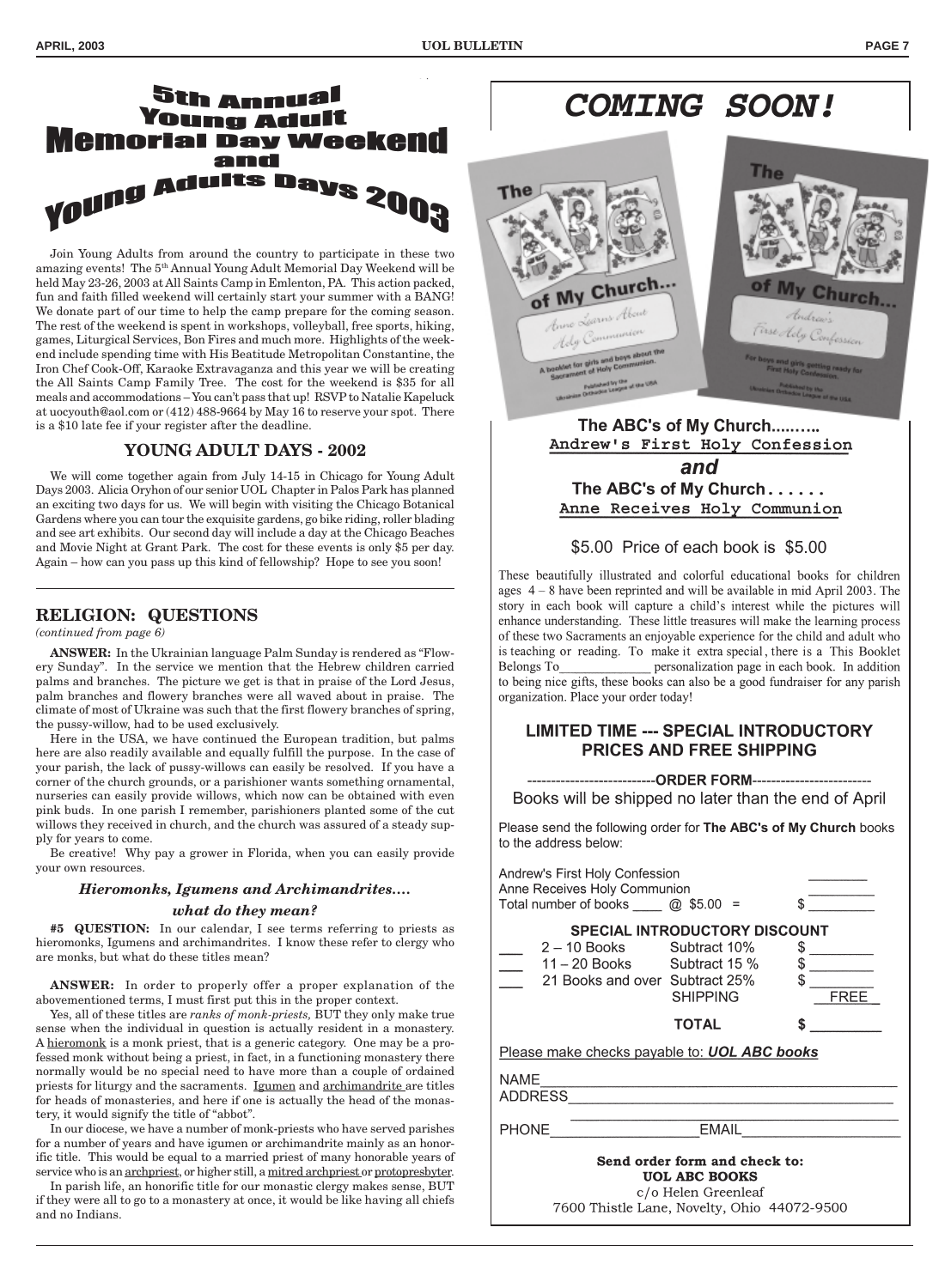### **Sth Annual** Young Adult iemorial Day Weekend and Young Adults Days 2003

Join Young Adults from around the country to participate in these two amazing events! The 5th Annual Young Adult Memorial Day Weekend will be held May 23-26, 2003 at All Saints Camp in Emlenton, PA. This action packed, fun and faith filled weekend will certainly start your summer with a BANG! We donate part of our time to help the camp prepare for the coming season. The rest of the weekend is spent in workshops, volleyball, free sports, hiking, games, Liturgical Services, Bon Fires and much more. Highlights of the weekend include spending time with His Beatitude Metropolitan Constantine, the Iron Chef Cook-Off, Karaoke Extravaganza and this year we will be creating the All Saints Camp Family Tree. The cost for the weekend is \$35 for all meals and accommodations – You can't pass that up! RSVP to Natalie Kapeluck at uocyouth@aol.com or (412) 488-9664 by May 16 to reserve your spot. There is a \$10 late fee if your register after the deadline.

#### **YOUNG ADULT DAYS - 2002**

We will come together again from July 14-15 in Chicago for Young Adult Days 2003. Alicia Oryhon of our senior UOL Chapter in Palos Park has planned an exciting two days for us. We will begin with visiting the Chicago Botanical Gardens where you can tour the exquisite gardens, go bike riding, roller blading and see art exhibits. Our second day will include a day at the Chicago Beaches and Movie Night at Grant Park. The cost for these events is only \$5 per day. Again – how can you pass up this kind of fellowship? Hope to see you soon!

#### **RELIGION: QUESTIONS**

#### *(continued from page 6)*

**ANSWER:** In the Ukrainian language Palm Sunday is rendered as "Flowery Sunday". In the service we mention that the Hebrew children carried palms and branches. The picture we get is that in praise of the Lord Jesus, palm branches and flowery branches were all waved about in praise. The climate of most of Ukraine was such that the first flowery branches of spring, the pussy-willow, had to be used exclusively.

Here in the USA, we have continued the European tradition, but palms here are also readily available and equally fulfill the purpose. In the case of your parish, the lack of pussy-willows can easily be resolved. If you have a corner of the church grounds, or a parishioner wants something ornamental, nurseries can easily provide willows, which now can be obtained with even pink buds. In one parish I remember, parishioners planted some of the cut willows they received in church, and the church was assured of a steady supply for years to come.

Be creative! Why pay a grower in Florida, when you can easily provide your own resources.

#### *Hieromonks, Igumens and Archimandrites….*

#### *what do they mean?*

**#5 QUESTION:** In our calendar, I see terms referring to priests as hieromonks, Igumens and archimandrites. I know these refer to clergy who are monks, but what do these titles mean?

**ANSWER:** In order to properly offer a proper explanation of the abovementioned terms, I must first put this in the proper context.

Yes, all of these titles are *ranks of monk-priests,* BUT they only make true sense when the individual in question is actually resident in a monastery. A hieromonk is a monk priest, that is a generic category. One may be a professed monk without being a priest, in fact, in a functioning monastery there normally would be no special need to have more than a couple of ordained priests for liturgy and the sacraments. Igumen and archimandrite are titles for heads of monasteries, and here if one is actually the head of the monastery, it would signify the title of "abbot".

In our diocese, we have a number of monk-priests who have served parishes for a number of years and have igumen or archimandrite mainly as an honorific title. This would be equal to a married priest of many honorable years of service who is an archpriest, or higher still, a mitred archpriest or protopresbyter.

In parish life, an honorific title for our monastic clergy makes sense, BUT if they were all to go to a monastery at once, it would be like having all chiefs and no Indians.

## **COMING SOON!**



#### The ABC's of My Church.......... Andrew's First Holy Confession and The ABC's of My Church...... Anne Receives Holy Communion

#### \$5.00 Price of each book is \$5.00

These beautifully illustrated and colorful educational books for children ages  $4 - 8$  have been reprinted and will be available in mid April 2003. The story in each book will capture a child's interest while the pictures will enhance understanding. These little treasures will make the learning process of these two Sacraments an enjoyable experience for the child and adult who is teaching or reading. To make it extra special, there is a This Booklet Belongs To personalization page in each book. In addition to being nice gifts, these books can also be a good fundraiser for any parish organization. Place your order today!

#### **LIMITED TIME --- SPECIAL INTRODUCTORY PRICES AND FREE SHIPPING**

--ORDER FORM--------------------------

Books will be shipped no later than the end of April

Please send the following order for The ABC's of My Church books to the address below:

|                                                                              | Andrew's First Holy Confession<br>Anne Receives Holy Communion<br>Total number of books $\omega$ \$5.00 = |                                                         | \$                                                                                                                        |  |  |  |
|------------------------------------------------------------------------------|-----------------------------------------------------------------------------------------------------------|---------------------------------------------------------|---------------------------------------------------------------------------------------------------------------------------|--|--|--|
|                                                                              | $2 - 10$ Books Subtract 10%<br>$11 - 20$ Books Subtract 15 %<br>21 Books and over Subtract 25%            | <b>SPECIAL INTRODUCTORY DISCOUNT</b><br><b>SHIPPING</b> | $$\overline{\hspace{1.5cm}}$$<br>$\begin{array}{c} \updownarrow \\ \downarrow \end{array}$<br>$\mathbb{S}$<br><b>FREE</b> |  |  |  |
|                                                                              |                                                                                                           | <b>TOTAL</b>                                            | S                                                                                                                         |  |  |  |
| Please make checks payable to: <b>UOL ABC books</b>                          |                                                                                                           |                                                         |                                                                                                                           |  |  |  |
| <b>NAME</b>                                                                  | <b>ADDRESS</b>                                                                                            |                                                         |                                                                                                                           |  |  |  |
| <b>EMAIL</b><br><b>PHONE</b>                                                 |                                                                                                           |                                                         |                                                                                                                           |  |  |  |
| Send order form and check to:<br><b>UOL ABC BOOKS</b><br>c/o Helen Greenleaf |                                                                                                           |                                                         |                                                                                                                           |  |  |  |

7600 Thistle Lane, Novelty, Ohio 44072-9500